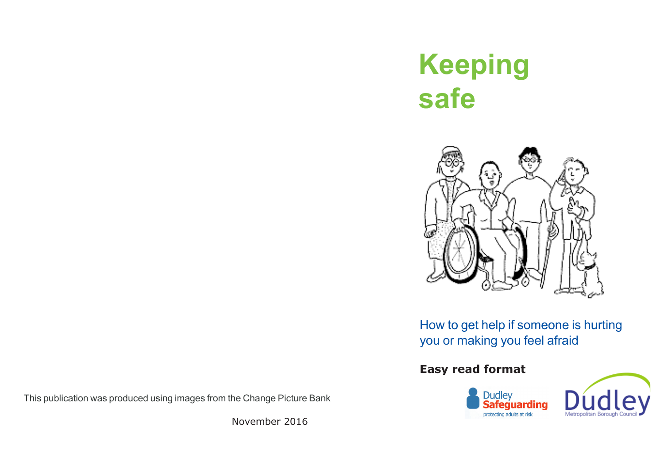# **Keeping safe**



# How to get help if someone is hurting you or making you feel afraid

# **Easy read format**





This publication was produced using images from the Change Picture Bank

November 2016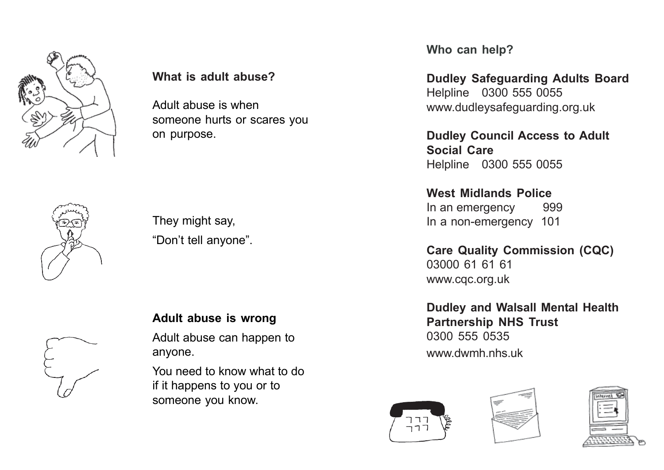

**What is adult abuse?**

Adult abuse is when someone hurts or scares you on purpose.



They might say, "Don't tell anyone".

# **Adult abuse is wrong**

Adult abuse can happen to anyone.

You need to know what to do if it happens to you or to someone you know.

**Who can help?**

**Dudley Safeguarding Adults Board** Helpline 0300 555 0055 www.dudleysafeguarding.org.uk

**Dudley Council Access to Adult Social Care** Helpline 0300 555 0055

**West Midlands Police** In an emergency 999 In a non-emergency 101

**Care Quality Commission (CQC)** 03000 61 61 61 www.cqc.org.uk

**Dudley and Walsall Mental Health Partnership NHS Trust** 0300 555 0535 www.dwmh.nhs.uk





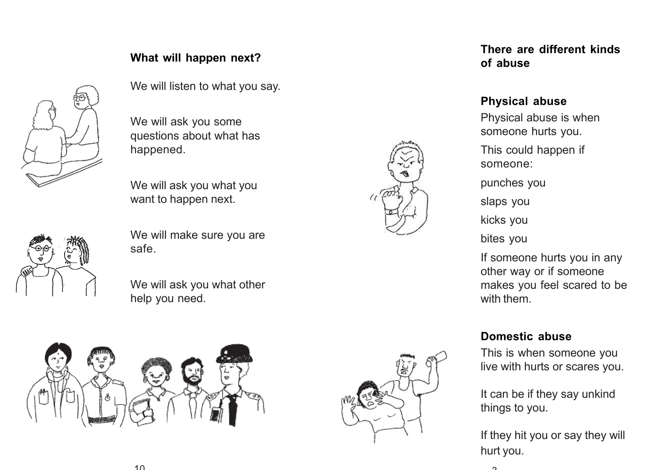

We will listen to what you say.

We will ask you some questions about what has happened.

We will ask you what you want to happen next.



We will make sure you are safe.

We will ask you what other help you need.





**There are different kinds of abuse**

#### **Physical abuse**

Physical abuse is when someone hurts you. This could happen if

someone:

punches you

slaps you

kicks you

bites you

If someone hurts you in any other way or if someone makes you feel scared to be with them.

#### **Domestic abuse**

This is when someone you live with hurts or scares you.

It can be if they say unkind things to you.

If they hit you or say they will hurt you.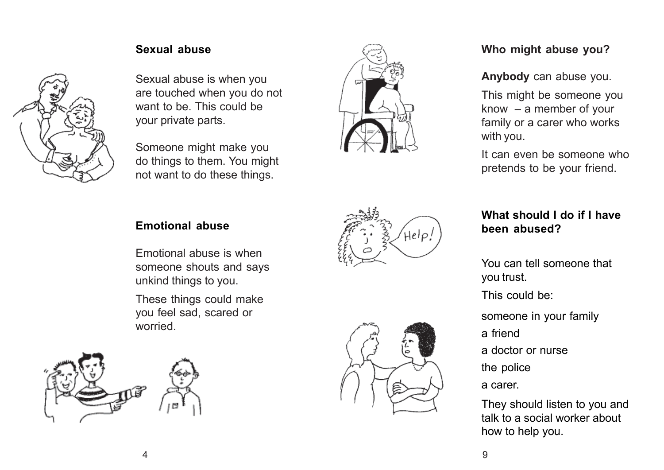

#### **Sexual abuse**

Sexual abuse is when you are touched when you do not want to be. This could be your private parts.

Someone might make you do things to them. You might not want to do these things.



# **Who might abuse you?**

**Anybody** can abuse you.

This might be someone you know  $-$  a member of your family or a carer who works with you.

It can even be someone who pretends to be your friend.

#### **Emotional abuse**

Emotional abuse is when someone shouts and says unkind things to you.

These things could make you feel sad, scared or worried.





# **What should I do if I have been abused?**

You can tell someone that you trust.

This could be:

someone in your family

a friend

a doctor or nurse

the police

a carer.

They should listen to you and talk to a social worker about how to help you.

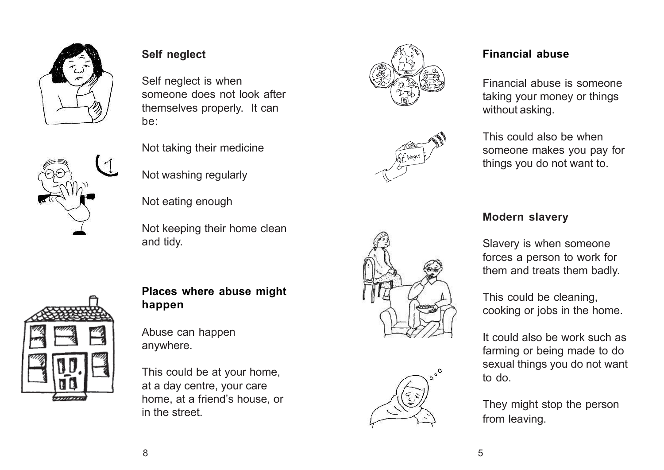

# **Self neglect**

Self neglect is when someone does not look after themselves properly. It can be:

Not taking their medicine

Not washing regularly

Not eating enough

and tidy.





# **Places where abuse might happen**

Not keeping their home clean

Abuse can happen anywhere.

This could be at your home, at a day centre, your care home, at a friend's house, or in the street.









# **Financial abuse**

Financial abuse is someone taking your money or things without asking.

This could also be when someone makes you pay for things you do not want to.

# **Modern slavery**

Slavery is when someone forces a person to work for them and treats them badly.

This could be cleaning, cooking or jobs in the home.

It could also be work such as farming or being made to do sexual things you do not want to do.

They might stop the person from leaving.